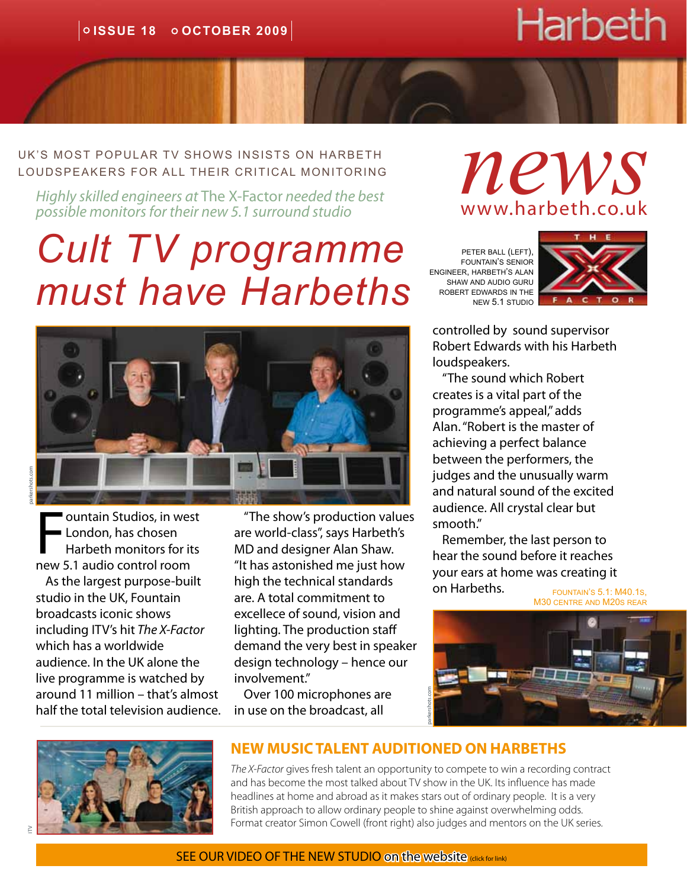# Harbeth

UK's most popular TV shows insists on harbeth loudspeakers for all their critical monitoring

*possible monitors for their new 5.1 surround studio*

## *Cult TV programme must have Harbeths*



parkershots.com

**Fall Studios, in we<br>
Franchiscon Harbeth monitors for index**<br> **Fall Studio control room** ountain Studios, in west **London, has chosen** Harbeth monitors for its

As the largest purpose-built studio in the UK, Fountain broadcasts iconic shows including ITV's hit *The X-Factor*  which has a worldwide audience. In the UK alone the live programme is watched by around 11 million – that's almost half the total television audience.

"The show's production values are world-class", says Harbeth's MD and designer Alan Shaw. "It has astonished me just how high the technical standards are. A total commitment to excellece of sound, vision and lighting. The production staff demand the very best in speaker design technology – hence our involvement."

Over 100 microphones are in use on the broadcast, all



peter ball (left), fountain's senior engineer, harbeth's alan shaw and audio guru robert edwards in the new 5.1 studio



controlled by sound supervisor Robert Edwards with his Harbeth loudspeakers.

"The sound which Robert creates is a vital part of the programme's appeal," adds Alan. "Robert is the master of achieving a perfect balance between the performers, the judges and the unusually warm and natural sound of the excited audience. All crystal clear but smooth."

Remember, the last person to hear the sound before it reaches your ears at home was creating it on Harbeths.

fountain's 5.1: M40.1s, M30 centre and M20s rear





#### **NEW MUSIC TALENT AUDITIONED ON HARBETHS**

*The X-Factor* gives fresh talent an opportunity to compete to win a recording contract and has become the most talked about TV show in the UK. Its influence has made headlines at home and abroad as it makes stars out of ordinary people. It is a very British approach to allow ordinary people to shine against overwhelming odds. Format creator Simon Cowell (front right) also judges and mentors on the UK series.